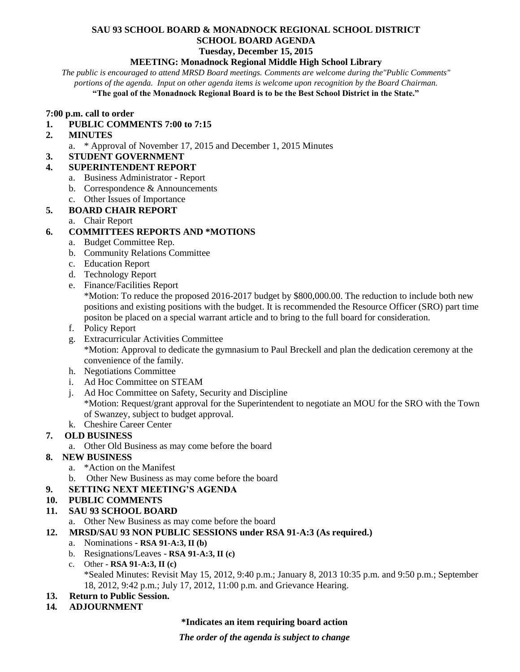# **SAU 93 SCHOOL BOARD & MONADNOCK REGIONAL SCHOOL DISTRICT SCHOOL BOARD AGENDA**

# **Tuesday, December 15, 2015**

#### **MEETING: Monadnock Regional Middle High School Library**

*The public is encouraged to attend MRSD Board meetings. Comments are welcome during the"Public Comments" portions of the agenda. Input on other agenda items is welcome upon recognition by the Board Chairman.* **"The goal of the Monadnock Regional Board is to be the Best School District in the State."**

#### **7:00 p.m. call to order**

**1. PUBLIC COMMENTS 7:00 to 7:15** 

### **2. MINUTES**

a. \* Approval of November 17, 2015 and December 1, 2015 Minutes

#### **3. STUDENT GOVERNMENT**

### **4. SUPERINTENDENT REPORT**

- a. Business Administrator Report
- b. Correspondence & Announcements
- c. Other Issues of Importance
- **5. BOARD CHAIR REPORT**
	- a. Chair Report

# **6. COMMITTEES REPORTS AND \*MOTIONS**

- a. Budget Committee Rep.
- b. Community Relations Committee
- c. Education Report
- d. Technology Report
- e. Finance/Facilities Report

\*Motion: To reduce the proposed 2016-2017 budget by \$800,000.00. The reduction to include both new positions and existing positions with the budget. It is recommended the Resource Officer (SRO) part time positon be placed on a special warrant article and to bring to the full board for consideration.

- f. Policy Report
- g. Extracurricular Activities Committee \*Motion: Approval to dedicate the gymnasium to Paul Breckell and plan the dedication ceremony at the convenience of the family.
- h. Negotiations Committee
- i. Ad Hoc Committee on STEAM
- j. Ad Hoc Committee on Safety, Security and Discipline \*Motion: Request/grant approval for the Superintendent to negotiate an MOU for the SRO with the Town of Swanzey, subject to budget approval.
- k. Cheshire Career Center

## **7. OLD BUSINESS**

a. Other Old Business as may come before the board

## **8. NEW BUSINESS**

- a. \*Action on the Manifest
- b. Other New Business as may come before the board

## **9. SETTING NEXT MEETING'S AGENDA**

## **10. PUBLIC COMMENTS**

## **11. SAU 93 SCHOOL BOARD**

- a. Other New Business as may come before the board
- **12. MRSD/SAU 93 NON PUBLIC SESSIONS under RSA 91-A:3 (As required.)**
	- a. Nominations **RSA 91-A:3, II (b)**
	- b. Resignations/Leaves **RSA 91-A:3, II (c)**
	- c. Other **- RSA 91-A:3, II (c)** \*Sealed Minutes: Revisit May 15, 2012, 9:40 p.m.; January 8, 2013 10:35 p.m. and 9:50 p.m.; September 18, 2012, 9:42 p.m.; July 17, 2012, 11:00 p.m. and Grievance Hearing.
- **13. Return to Public Session.**
- **14***.* **ADJOURNMENT**

#### **\*Indicates an item requiring board action**

*The order of the agenda is subject to change*